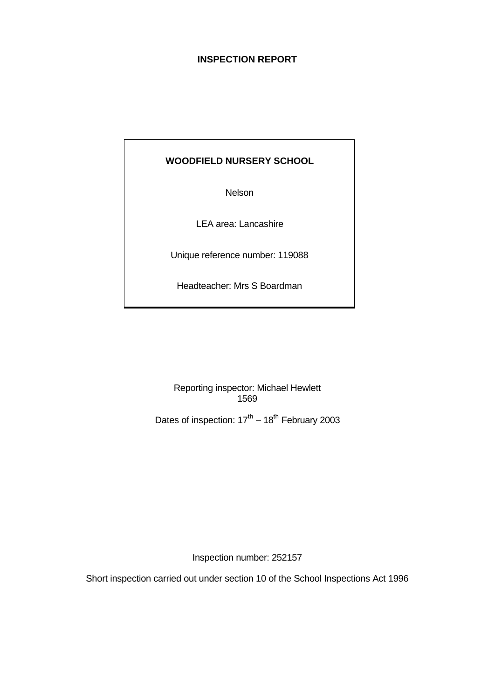# **INSPECTION REPORT**

# **WOODFIELD NURSERY SCHOOL**

Nelson

LEA area: Lancashire

Unique reference number: 119088

Headteacher: Mrs S Boardman

Reporting inspector: Michael Hewlett 1569

Dates of inspection:  $17<sup>th</sup> - 18<sup>th</sup>$  February 2003

Inspection number: 252157

Short inspection carried out under section 10 of the School Inspections Act 1996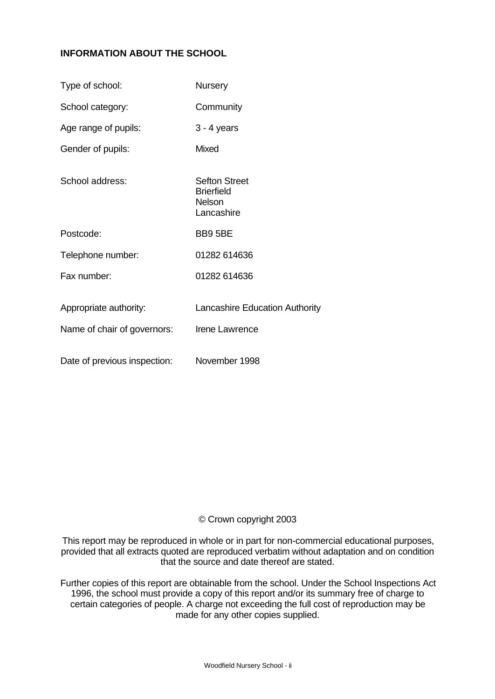# **INFORMATION ABOUT THE SCHOOL**

| Type of school:                                       | <b>Nursery</b>                                                    |
|-------------------------------------------------------|-------------------------------------------------------------------|
| School category:                                      | Community                                                         |
| Age range of pupils:                                  | $3 - 4$ years                                                     |
| Gender of pupils:                                     | <b>Mixed</b>                                                      |
| School address:                                       | <b>Sefton Street</b><br><b>Brierfield</b><br>Nelson<br>Lancashire |
| Postcode:                                             | BB9 5BE                                                           |
| Telephone number:                                     | 01282 614636                                                      |
| Fax number:                                           | 01282 614636                                                      |
| Appropriate authority:<br>Name of chair of governors: | <b>Lancashire Education Authority</b><br>Irene Lawrence           |
| Date of previous inspection:                          | November 1998                                                     |

## © Crown copyright 2003

This report may be reproduced in whole or in part for non-commercial educational purposes, provided that all extracts quoted are reproduced verbatim without adaptation and on condition that the source and date thereof are stated.

Further copies of this report are obtainable from the school. Under the School Inspections Act 1996, the school must provide a copy of this report and/or its summary free of charge to certain categories of people. A charge not exceeding the full cost of reproduction may be made for any other copies supplied.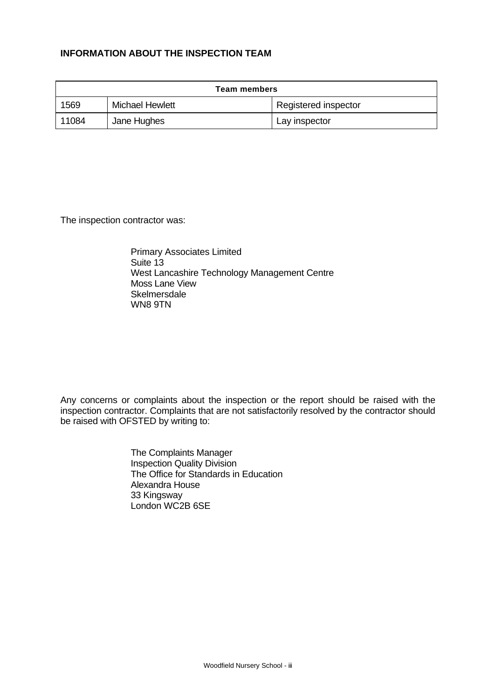## **INFORMATION ABOUT THE INSPECTION TEAM**

| <b>Team members</b> |                        |                      |  |
|---------------------|------------------------|----------------------|--|
| 1569                | <b>Michael Hewlett</b> | Registered inspector |  |
| 11084               | Jane Hughes            | Lay inspector        |  |

The inspection contractor was:

Primary Associates Limited Suite 13 West Lancashire Technology Management Centre Moss Lane View **Skelmersdale** WN8 9TN

Any concerns or complaints about the inspection or the report should be raised with the inspection contractor. Complaints that are not satisfactorily resolved by the contractor should be raised with OFSTED by writing to:

> The Complaints Manager Inspection Quality Division The Office for Standards in Education Alexandra House 33 Kingsway London WC2B 6SE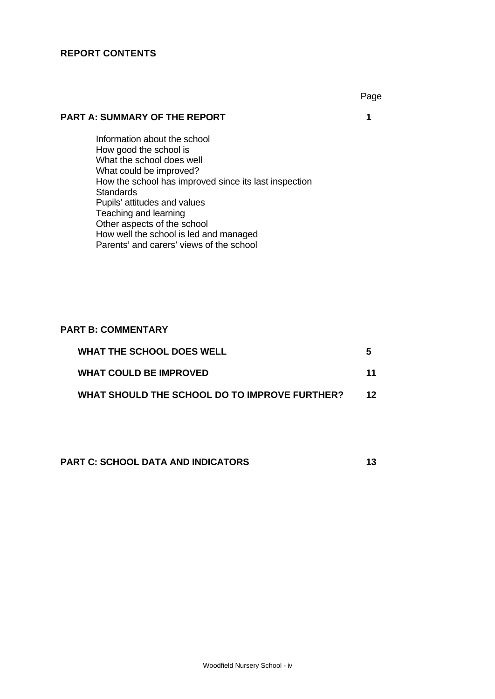## **REPORT CONTENTS**

#### **PART A: SUMMARY OF THE REPORT 1**

Information about the school How good the school is What the school does well What could be improved? How the school has improved since its last inspection **Standards** Pupils' attitudes and values Teaching and learning Other aspects of the school How well the school is led and managed Parents' and carers' views of the school

#### **PART B: COMMENTARY**

| <b>WHAT THE SCHOOL DOES WELL</b>              | 5   |
|-----------------------------------------------|-----|
| <b>WHAT COULD BE IMPROVED</b>                 | 11  |
| WHAT SHOULD THE SCHOOL DO TO IMPROVE FURTHER? | 12. |

**PART C: SCHOOL DATA AND INDICATORS** 13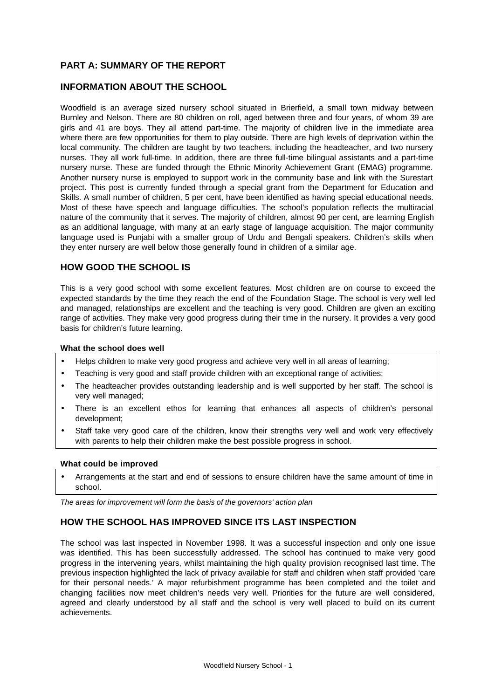## **PART A: SUMMARY OF THE REPORT**

## **INFORMATION ABOUT THE SCHOOL**

Woodfield is an average sized nursery school situated in Brierfield, a small town midway between Burnley and Nelson. There are 80 children on roll, aged between three and four years, of whom 39 are girls and 41 are boys. They all attend part-time. The majority of children live in the immediate area where there are few opportunities for them to play outside. There are high levels of deprivation within the local community. The children are taught by two teachers, including the headteacher, and two nursery nurses. They all work full-time. In addition, there are three full-time bilingual assistants and a part-time nursery nurse. These are funded through the Ethnic Minority Achievement Grant (EMAG) programme. Another nursery nurse is employed to support work in the community base and link with the Surestart project. This post is currently funded through a special grant from the Department for Education and Skills. A small number of children, 5 per cent, have been identified as having special educational needs. Most of these have speech and language difficulties. The school's population reflects the multiracial nature of the community that it serves. The majority of children, almost 90 per cent, are learning English as an additional language, with many at an early stage of language acquisition. The major community language used is Punjabi with a smaller group of Urdu and Bengali speakers. Children's skills when they enter nursery are well below those generally found in children of a similar age.

## **HOW GOOD THE SCHOOL IS**

This is a very good school with some excellent features. Most children are on course to exceed the expected standards by the time they reach the end of the Foundation Stage. The school is very well led and managed, relationships are excellent and the teaching is very good. Children are given an exciting range of activities. They make very good progress during their time in the nursery. It provides a very good basis for children's future learning.

#### **What the school does well**

- Helps children to make very good progress and achieve very well in all areas of learning;
- Teaching is very good and staff provide children with an exceptional range of activities;
- The headteacher provides outstanding leadership and is well supported by her staff. The school is very well managed;
- There is an excellent ethos for learning that enhances all aspects of children's personal development;
- Staff take very good care of the children, know their strengths very well and work very effectively with parents to help their children make the best possible progress in school.

#### **What could be improved**

• Arrangements at the start and end of sessions to ensure children have the same amount of time in school.

*The areas for improvement will form the basis of the governors' action plan*

#### **HOW THE SCHOOL HAS IMPROVED SINCE ITS LAST INSPECTION**

The school was last inspected in November 1998. It was a successful inspection and only one issue was identified. This has been successfully addressed. The school has continued to make very good progress in the intervening years, whilst maintaining the high quality provision recognised last time. The previous inspection highlighted the lack of privacy available for staff and children when staff provided 'care for their personal needs.' A major refurbishment programme has been completed and the toilet and changing facilities now meet children's needs very well. Priorities for the future are well considered, agreed and clearly understood by all staff and the school is very well placed to build on its current achievements.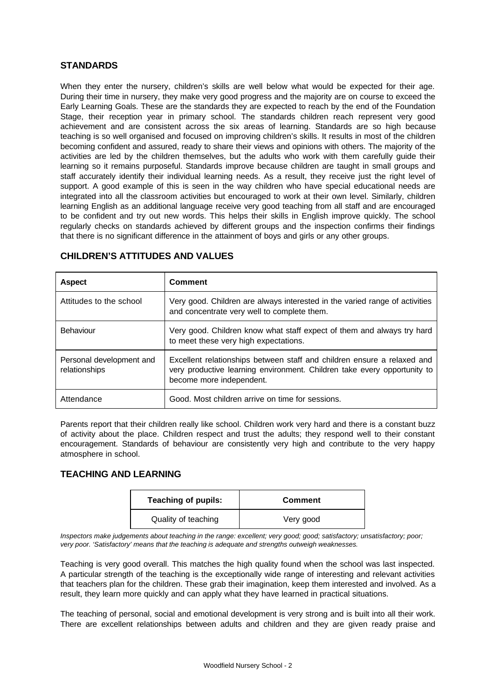#### **STANDARDS**

When they enter the nursery, children's skills are well below what would be expected for their age. During their time in nursery, they make very good progress and the majority are on course to exceed the Early Learning Goals. These are the standards they are expected to reach by the end of the Foundation Stage, their reception year in primary school. The standards children reach represent very good achievement and are consistent across the six areas of learning. Standards are so high because teaching is so well organised and focused on improving children's skills. It results in most of the children becoming confident and assured, ready to share their views and opinions with others. The majority of the activities are led by the children themselves, but the adults who work with them carefully guide their learning so it remains purposeful. Standards improve because children are taught in small groups and staff accurately identify their individual learning needs. As a result, they receive just the right level of support. A good example of this is seen in the way children who have special educational needs are integrated into all the classroom activities but encouraged to work at their own level. Similarly, children learning English as an additional language receive very good teaching from all staff and are encouraged to be confident and try out new words. This helps their skills in English improve quickly. The school regularly checks on standards achieved by different groups and the inspection confirms their findings that there is no significant difference in the attainment of boys and girls or any other groups.

| <b>Aspect</b>                             | <b>Comment</b>                                                                                                                                                                  |
|-------------------------------------------|---------------------------------------------------------------------------------------------------------------------------------------------------------------------------------|
| Attitudes to the school                   | Very good. Children are always interested in the varied range of activities<br>and concentrate very well to complete them.                                                      |
| Behaviour                                 | Very good. Children know what staff expect of them and always try hard<br>to meet these very high expectations.                                                                 |
| Personal development and<br>relationships | Excellent relationships between staff and children ensure a relaxed and<br>very productive learning environment. Children take every opportunity to<br>become more independent. |
| Attendance                                | Good. Most children arrive on time for sessions.                                                                                                                                |

## **CHILDREN'S ATTITUDES AND VALUES**

Parents report that their children really like school. Children work very hard and there is a constant buzz of activity about the place. Children respect and trust the adults; they respond well to their constant encouragement. Standards of behaviour are consistently very high and contribute to the very happy atmosphere in school.

## **TEACHING AND LEARNING**

| <b>Teaching of pupils:</b> | <b>Comment</b> |
|----------------------------|----------------|
| Quality of teaching        | Very good      |

*Inspectors make judgements about teaching in the range: excellent; very good; good; satisfactory; unsatisfactory; poor; very poor. 'Satisfactory' means that the teaching is adequate and strengths outweigh weaknesses.*

Teaching is very good overall. This matches the high quality found when the school was last inspected. A particular strength of the teaching is the exceptionally wide range of interesting and relevant activities that teachers plan for the children. These grab their imagination, keep them interested and involved. As a result, they learn more quickly and can apply what they have learned in practical situations.

The teaching of personal, social and emotional development is very strong and is built into all their work. There are excellent relationships between adults and children and they are given ready praise and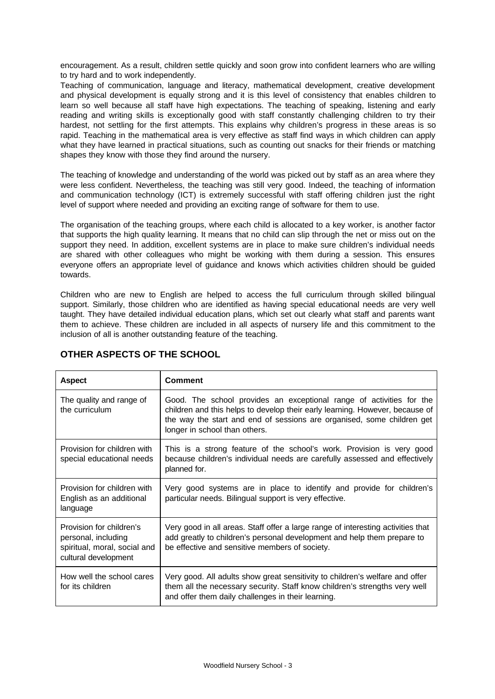encouragement. As a result, children settle quickly and soon grow into confident learners who are willing to try hard and to work independently.

Teaching of communication, language and literacy, mathematical development, creative development and physical development is equally strong and it is this level of consistency that enables children to learn so well because all staff have high expectations. The teaching of speaking, listening and early reading and writing skills is exceptionally good with staff constantly challenging children to try their hardest, not settling for the first attempts. This explains why children's progress in these areas is so rapid. Teaching in the mathematical area is very effective as staff find ways in which children can apply what they have learned in practical situations, such as counting out snacks for their friends or matching shapes they know with those they find around the nursery.

The teaching of knowledge and understanding of the world was picked out by staff as an area where they were less confident. Nevertheless, the teaching was still very good. Indeed, the teaching of information and communication technology (ICT) is extremely successful with staff offering children just the right level of support where needed and providing an exciting range of software for them to use.

The organisation of the teaching groups, where each child is allocated to a key worker, is another factor that supports the high quality learning. It means that no child can slip through the net or miss out on the support they need. In addition, excellent systems are in place to make sure children's individual needs are shared with other colleagues who might be working with them during a session. This ensures everyone offers an appropriate level of guidance and knows which activities children should be guided towards.

Children who are new to English are helped to access the full curriculum through skilled bilingual support. Similarly, those children who are identified as having special educational needs are very well taught. They have detailed individual education plans, which set out clearly what staff and parents want them to achieve. These children are included in all aspects of nursery life and this commitment to the inclusion of all is another outstanding feature of the teaching.

| <b>Aspect</b>                                                                                           | Comment                                                                                                                                                                                                                                                         |
|---------------------------------------------------------------------------------------------------------|-----------------------------------------------------------------------------------------------------------------------------------------------------------------------------------------------------------------------------------------------------------------|
| The quality and range of<br>the curriculum                                                              | Good. The school provides an exceptional range of activities for the<br>children and this helps to develop their early learning. However, because of<br>the way the start and end of sessions are organised, some children get<br>longer in school than others. |
| Provision for children with<br>special educational needs                                                | This is a strong feature of the school's work. Provision is very good<br>because children's individual needs are carefully assessed and effectively<br>planned for.                                                                                             |
| Provision for children with<br>English as an additional<br>language                                     | Very good systems are in place to identify and provide for children's<br>particular needs. Bilingual support is very effective.                                                                                                                                 |
| Provision for children's<br>personal, including<br>spiritual, moral, social and<br>cultural development | Very good in all areas. Staff offer a large range of interesting activities that<br>add greatly to children's personal development and help them prepare to<br>be effective and sensitive members of society.                                                   |
| How well the school cares<br>for its children                                                           | Very good. All adults show great sensitivity to children's welfare and offer<br>them all the necessary security. Staff know children's strengths very well<br>and offer them daily challenges in their learning.                                                |

# **OTHER ASPECTS OF THE SCHOOL**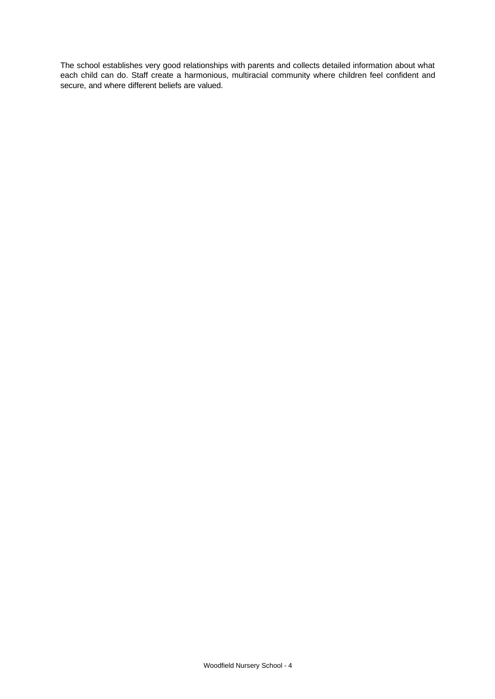The school establishes very good relationships with parents and collects detailed information about what each child can do. Staff create a harmonious, multiracial community where children feel confident and secure, and where different beliefs are valued.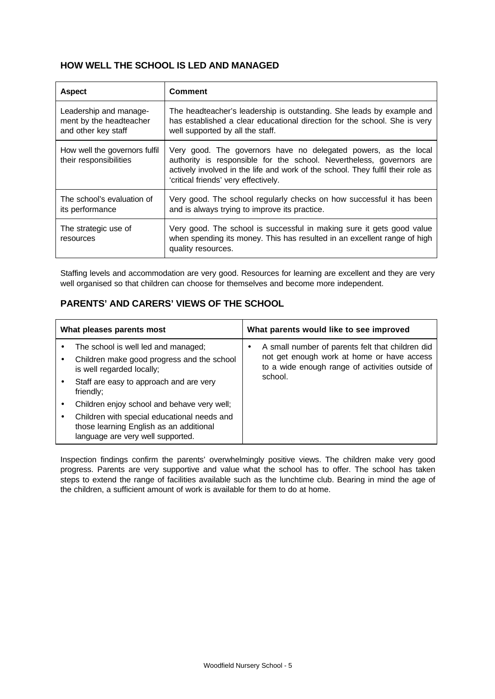## **HOW WELL THE SCHOOL IS LED AND MANAGED**

| <b>Aspect</b>                                                            | Comment                                                                                                                                                                                                                                                            |
|--------------------------------------------------------------------------|--------------------------------------------------------------------------------------------------------------------------------------------------------------------------------------------------------------------------------------------------------------------|
| Leadership and manage-<br>ment by the headteacher<br>and other key staff | The headteacher's leadership is outstanding. She leads by example and<br>has established a clear educational direction for the school. She is very<br>well supported by all the staff.                                                                             |
| How well the governors fulfil<br>their responsibilities                  | Very good. The governors have no delegated powers, as the local<br>authority is responsible for the school. Nevertheless, governors are<br>actively involved in the life and work of the school. They fulfil their role as<br>'critical friends' very effectively. |
| The school's evaluation of<br>its performance                            | Very good. The school regularly checks on how successful it has been<br>and is always trying to improve its practice.                                                                                                                                              |
| The strategic use of<br>resources                                        | Very good. The school is successful in making sure it gets good value<br>when spending its money. This has resulted in an excellent range of high<br>quality resources.                                                                                            |

Staffing levels and accommodation are very good. Resources for learning are excellent and they are very well organised so that children can choose for themselves and become more independent.

## **PARENTS' AND CARERS' VIEWS OF THE SCHOOL**

| What pleases parents most |                                                                                                                             | What parents would like to see improved |                                                                                                                                                   |
|---------------------------|-----------------------------------------------------------------------------------------------------------------------------|-----------------------------------------|---------------------------------------------------------------------------------------------------------------------------------------------------|
|                           | The school is well led and managed;<br>Children make good progress and the school<br>is well regarded locally;              |                                         | A small number of parents felt that children did<br>not get enough work at home or have access<br>to a wide enough range of activities outside of |
|                           | Staff are easy to approach and are very<br>friendly;                                                                        |                                         | school.                                                                                                                                           |
|                           | Children enjoy school and behave very well;                                                                                 |                                         |                                                                                                                                                   |
|                           | Children with special educational needs and<br>those learning English as an additional<br>language are very well supported. |                                         |                                                                                                                                                   |

Inspection findings confirm the parents' overwhelmingly positive views. The children make very good progress. Parents are very supportive and value what the school has to offer. The school has taken steps to extend the range of facilities available such as the lunchtime club. Bearing in mind the age of the children, a sufficient amount of work is available for them to do at home.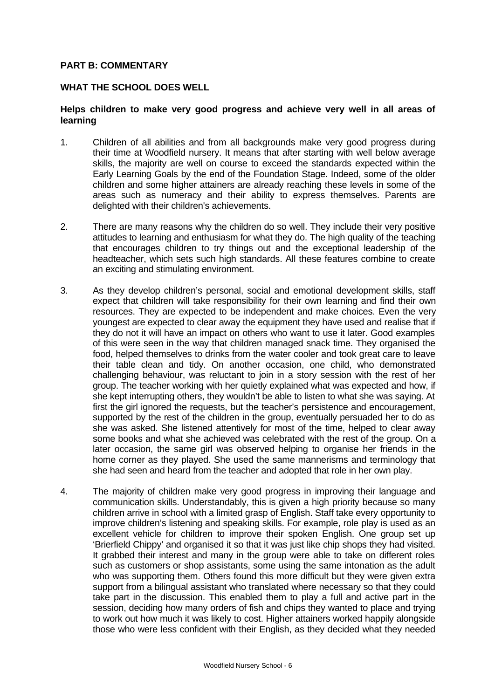## **PART B: COMMENTARY**

#### **WHAT THE SCHOOL DOES WELL**

## **Helps children to make very good progress and achieve very well in all areas of learning**

- 1. Children of all abilities and from all backgrounds make very good progress during their time at Woodfield nursery. It means that after starting with well below average skills, the majority are well on course to exceed the standards expected within the Early Learning Goals by the end of the Foundation Stage. Indeed, some of the older children and some higher attainers are already reaching these levels in some of the areas such as numeracy and their ability to express themselves. Parents are delighted with their children's achievements.
- 2. There are many reasons why the children do so well. They include their very positive attitudes to learning and enthusiasm for what they do. The high quality of the teaching that encourages children to try things out and the exceptional leadership of the headteacher, which sets such high standards. All these features combine to create an exciting and stimulating environment.
- 3. As they develop children's personal, social and emotional development skills, staff expect that children will take responsibility for their own learning and find their own resources. They are expected to be independent and make choices. Even the very youngest are expected to clear away the equipment they have used and realise that if they do not it will have an impact on others who want to use it later. Good examples of this were seen in the way that children managed snack time. They organised the food, helped themselves to drinks from the water cooler and took great care to leave their table clean and tidy. On another occasion, one child, who demonstrated challenging behaviour, was reluctant to join in a story session with the rest of her group. The teacher working with her quietly explained what was expected and how, if she kept interrupting others, they wouldn't be able to listen to what she was saying. At first the girl ignored the requests, but the teacher's persistence and encouragement, supported by the rest of the children in the group, eventually persuaded her to do as she was asked. She listened attentively for most of the time, helped to clear away some books and what she achieved was celebrated with the rest of the group. On a later occasion, the same girl was observed helping to organise her friends in the home corner as they played. She used the same mannerisms and terminology that she had seen and heard from the teacher and adopted that role in her own play.
- 4. The majority of children make very good progress in improving their language and communication skills. Understandably, this is given a high priority because so many children arrive in school with a limited grasp of English. Staff take every opportunity to improve children's listening and speaking skills. For example, role play is used as an excellent vehicle for children to improve their spoken English. One group set up 'Brierfield Chippy' and organised it so that it was just like chip shops they had visited. It grabbed their interest and many in the group were able to take on different roles such as customers or shop assistants, some using the same intonation as the adult who was supporting them. Others found this more difficult but they were given extra support from a bilingual assistant who translated where necessary so that they could take part in the discussion. This enabled them to play a full and active part in the session, deciding how many orders of fish and chips they wanted to place and trying to work out how much it was likely to cost. Higher attainers worked happily alongside those who were less confident with their English, as they decided what they needed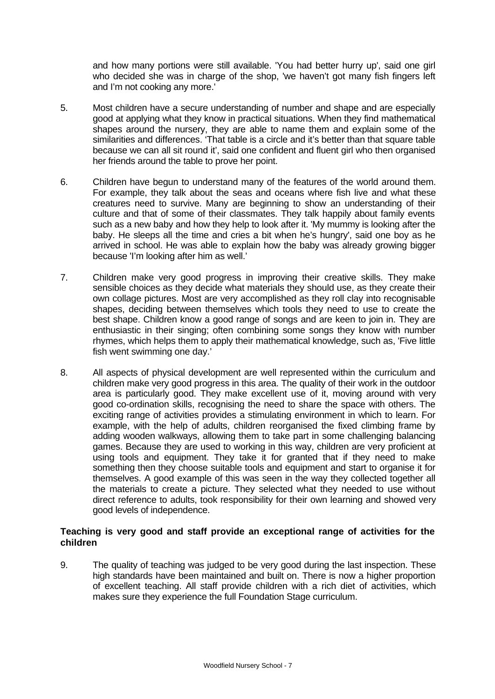and how many portions were still available. 'You had better hurry up', said one girl who decided she was in charge of the shop, 'we haven't got many fish fingers left and I'm not cooking any more.'

- 5. Most children have a secure understanding of number and shape and are especially good at applying what they know in practical situations. When they find mathematical shapes around the nursery, they are able to name them and explain some of the similarities and differences. 'That table is a circle and it's better than that square table because we can all sit round it', said one confident and fluent girl who then organised her friends around the table to prove her point.
- 6. Children have begun to understand many of the features of the world around them. For example, they talk about the seas and oceans where fish live and what these creatures need to survive. Many are beginning to show an understanding of their culture and that of some of their classmates. They talk happily about family events such as a new baby and how they help to look after it. 'My mummy is looking after the baby. He sleeps all the time and cries a bit when he's hungry', said one boy as he arrived in school. He was able to explain how the baby was already growing bigger because 'I'm looking after him as well.'
- 7. Children make very good progress in improving their creative skills. They make sensible choices as they decide what materials they should use, as they create their own collage pictures. Most are very accomplished as they roll clay into recognisable shapes, deciding between themselves which tools they need to use to create the best shape. Children know a good range of songs and are keen to join in. They are enthusiastic in their singing; often combining some songs they know with number rhymes, which helps them to apply their mathematical knowledge, such as, 'Five little fish went swimming one day.'
- 8. All aspects of physical development are well represented within the curriculum and children make very good progress in this area. The quality of their work in the outdoor area is particularly good. They make excellent use of it, moving around with very good co-ordination skills, recognising the need to share the space with others. The exciting range of activities provides a stimulating environment in which to learn. For example, with the help of adults, children reorganised the fixed climbing frame by adding wooden walkways, allowing them to take part in some challenging balancing games. Because they are used to working in this way, children are very proficient at using tools and equipment. They take it for granted that if they need to make something then they choose suitable tools and equipment and start to organise it for themselves. A good example of this was seen in the way they collected together all the materials to create a picture. They selected what they needed to use without direct reference to adults, took responsibility for their own learning and showed very good levels of independence.

## **Teaching is very good and staff provide an exceptional range of activities for the children**

9. The quality of teaching was judged to be very good during the last inspection. These high standards have been maintained and built on. There is now a higher proportion of excellent teaching. All staff provide children with a rich diet of activities, which makes sure they experience the full Foundation Stage curriculum.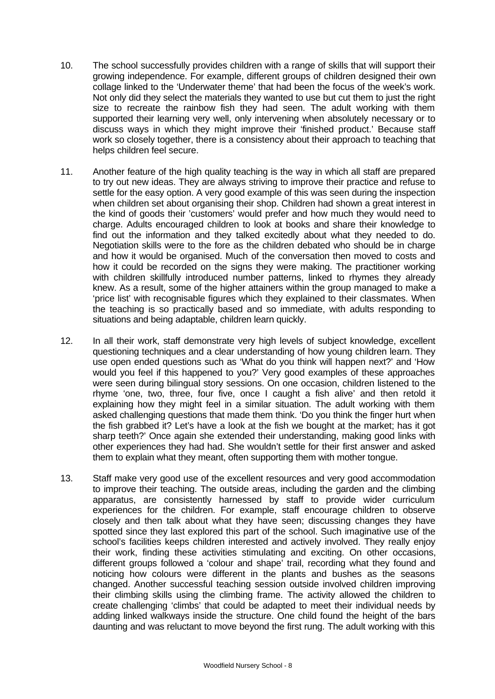- 10. The school successfully provides children with a range of skills that will support their growing independence. For example, different groups of children designed their own collage linked to the 'Underwater theme' that had been the focus of the week's work. Not only did they select the materials they wanted to use but cut them to just the right size to recreate the rainbow fish they had seen. The adult working with them supported their learning very well, only intervening when absolutely necessary or to discuss ways in which they might improve their 'finished product.' Because staff work so closely together, there is a consistency about their approach to teaching that helps children feel secure.
- 11. Another feature of the high quality teaching is the way in which all staff are prepared to try out new ideas. They are always striving to improve their practice and refuse to settle for the easy option. A very good example of this was seen during the inspection when children set about organising their shop. Children had shown a great interest in the kind of goods their 'customers' would prefer and how much they would need to charge. Adults encouraged children to look at books and share their knowledge to find out the information and they talked excitedly about what they needed to do. Negotiation skills were to the fore as the children debated who should be in charge and how it would be organised. Much of the conversation then moved to costs and how it could be recorded on the signs they were making. The practitioner working with children skillfully introduced number patterns, linked to rhymes they already knew. As a result, some of the higher attainers within the group managed to make a 'price list' with recognisable figures which they explained to their classmates. When the teaching is so practically based and so immediate, with adults responding to situations and being adaptable, children learn quickly.
- 12. In all their work, staff demonstrate very high levels of subject knowledge, excellent questioning techniques and a clear understanding of how young children learn. They use open ended questions such as 'What do you think will happen next?' and 'How would you feel if this happened to you?' Very good examples of these approaches were seen during bilingual story sessions. On one occasion, children listened to the rhyme 'one, two, three, four five, once I caught a fish alive' and then retold it explaining how they might feel in a similar situation. The adult working with them asked challenging questions that made them think. 'Do you think the finger hurt when the fish grabbed it? Let's have a look at the fish we bought at the market; has it got sharp teeth?' Once again she extended their understanding, making good links with other experiences they had had. She wouldn't settle for their first answer and asked them to explain what they meant, often supporting them with mother tongue.
- 13. Staff make very good use of the excellent resources and very good accommodation to improve their teaching. The outside areas, including the garden and the climbing apparatus, are consistently harnessed by staff to provide wider curriculum experiences for the children. For example, staff encourage children to observe closely and then talk about what they have seen; discussing changes they have spotted since they last explored this part of the school. Such imaginative use of the school's facilities keeps children interested and actively involved. They really enjoy their work, finding these activities stimulating and exciting. On other occasions, different groups followed a 'colour and shape' trail, recording what they found and noticing how colours were different in the plants and bushes as the seasons changed. Another successful teaching session outside involved children improving their climbing skills using the climbing frame. The activity allowed the children to create challenging 'climbs' that could be adapted to meet their individual needs by adding linked walkways inside the structure. One child found the height of the bars daunting and was reluctant to move beyond the first rung. The adult working with this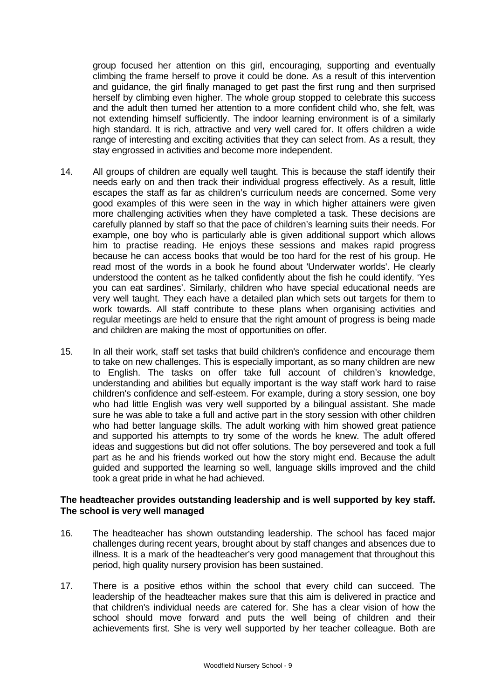group focused her attention on this girl, encouraging, supporting and eventually climbing the frame herself to prove it could be done. As a result of this intervention and guidance, the girl finally managed to get past the first rung and then surprised herself by climbing even higher. The whole group stopped to celebrate this success and the adult then turned her attention to a more confident child who, she felt, was not extending himself sufficiently. The indoor learning environment is of a similarly high standard. It is rich, attractive and very well cared for. It offers children a wide range of interesting and exciting activities that they can select from. As a result, they stay engrossed in activities and become more independent.

- 14. All groups of children are equally well taught. This is because the staff identify their needs early on and then track their individual progress effectively. As a result, little escapes the staff as far as children's curriculum needs are concerned. Some very good examples of this were seen in the way in which higher attainers were given more challenging activities when they have completed a task. These decisions are carefully planned by staff so that the pace of children's learning suits their needs. For example, one boy who is particularly able is given additional support which allows him to practise reading. He enjoys these sessions and makes rapid progress because he can access books that would be too hard for the rest of his group. He read most of the words in a book he found about 'Underwater worlds'. He clearly understood the content as he talked confidently about the fish he could identify. 'Yes you can eat sardines'. Similarly, children who have special educational needs are very well taught. They each have a detailed plan which sets out targets for them to work towards. All staff contribute to these plans when organising activities and regular meetings are held to ensure that the right amount of progress is being made and children are making the most of opportunities on offer.
- 15. In all their work, staff set tasks that build children's confidence and encourage them to take on new challenges. This is especially important, as so many children are new to English. The tasks on offer take full account of children's knowledge, understanding and abilities but equally important is the way staff work hard to raise children's confidence and self-esteem. For example, during a story session, one boy who had little English was very well supported by a bilingual assistant. She made sure he was able to take a full and active part in the story session with other children who had better language skills. The adult working with him showed great patience and supported his attempts to try some of the words he knew. The adult offered ideas and suggestions but did not offer solutions. The boy persevered and took a full part as he and his friends worked out how the story might end. Because the adult guided and supported the learning so well, language skills improved and the child took a great pride in what he had achieved.

#### **The headteacher provides outstanding leadership and is well supported by key staff. The school is very well managed**

- 16. The headteacher has shown outstanding leadership. The school has faced major challenges during recent years, brought about by staff changes and absences due to illness. It is a mark of the headteacher's very good management that throughout this period, high quality nursery provision has been sustained.
- 17. There is a positive ethos within the school that every child can succeed. The leadership of the headteacher makes sure that this aim is delivered in practice and that children's individual needs are catered for. She has a clear vision of how the school should move forward and puts the well being of children and their achievements first. She is very well supported by her teacher colleague. Both are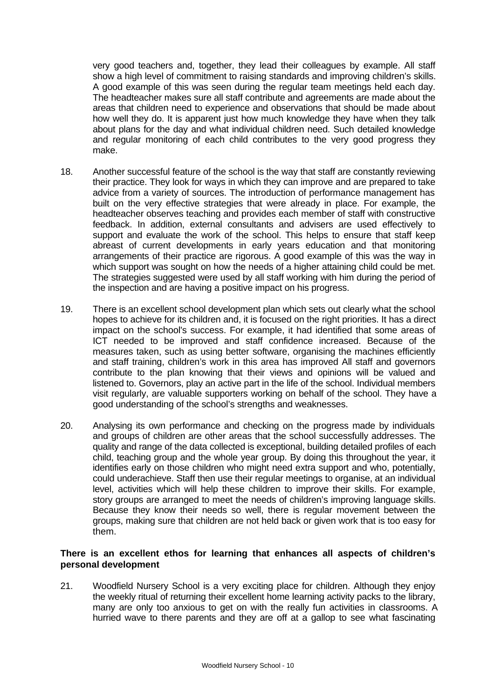very good teachers and, together, they lead their colleagues by example. All staff show a high level of commitment to raising standards and improving children's skills. A good example of this was seen during the regular team meetings held each day. The headteacher makes sure all staff contribute and agreements are made about the areas that children need to experience and observations that should be made about how well they do. It is apparent just how much knowledge they have when they talk about plans for the day and what individual children need. Such detailed knowledge and regular monitoring of each child contributes to the very good progress they make.

- 18. Another successful feature of the school is the way that staff are constantly reviewing their practice. They look for ways in which they can improve and are prepared to take advice from a variety of sources. The introduction of performance management has built on the very effective strategies that were already in place. For example, the headteacher observes teaching and provides each member of staff with constructive feedback. In addition, external consultants and advisers are used effectively to support and evaluate the work of the school. This helps to ensure that staff keep abreast of current developments in early years education and that monitoring arrangements of their practice are rigorous. A good example of this was the way in which support was sought on how the needs of a higher attaining child could be met. The strategies suggested were used by all staff working with him during the period of the inspection and are having a positive impact on his progress.
- 19. There is an excellent school development plan which sets out clearly what the school hopes to achieve for its children and, it is focused on the right priorities. It has a direct impact on the school's success. For example, it had identified that some areas of ICT needed to be improved and staff confidence increased. Because of the measures taken, such as using better software, organising the machines efficiently and staff training, children's work in this area has improved All staff and governors contribute to the plan knowing that their views and opinions will be valued and listened to. Governors, play an active part in the life of the school. Individual members visit regularly, are valuable supporters working on behalf of the school. They have a good understanding of the school's strengths and weaknesses.
- 20. Analysing its own performance and checking on the progress made by individuals and groups of children are other areas that the school successfully addresses. The quality and range of the data collected is exceptional, building detailed profiles of each child, teaching group and the whole year group. By doing this throughout the year, it identifies early on those children who might need extra support and who, potentially, could underachieve. Staff then use their regular meetings to organise, at an individual level, activities which will help these children to improve their skills. For example. story groups are arranged to meet the needs of children's improving language skills. Because they know their needs so well, there is regular movement between the groups, making sure that children are not held back or given work that is too easy for them.

#### **There is an excellent ethos for learning that enhances all aspects of children's personal development**

21. Woodfield Nursery School is a very exciting place for children. Although they enjoy the weekly ritual of returning their excellent home learning activity packs to the library, many are only too anxious to get on with the really fun activities in classrooms. A hurried wave to there parents and they are off at a gallop to see what fascinating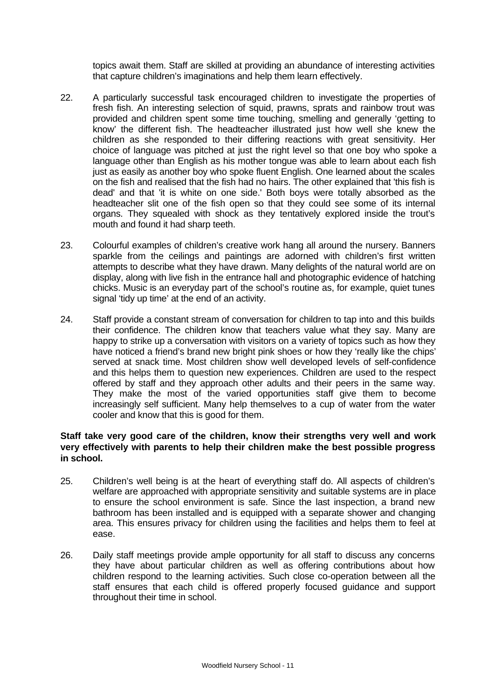topics await them. Staff are skilled at providing an abundance of interesting activities that capture children's imaginations and help them learn effectively.

- 22. A particularly successful task encouraged children to investigate the properties of fresh fish. An interesting selection of squid, prawns, sprats and rainbow trout was provided and children spent some time touching, smelling and generally 'getting to know' the different fish. The headteacher illustrated just how well she knew the children as she responded to their differing reactions with great sensitivity. Her choice of language was pitched at just the right level so that one boy who spoke a language other than English as his mother tongue was able to learn about each fish just as easily as another boy who spoke fluent English. One learned about the scales on the fish and realised that the fish had no hairs. The other explained that 'this fish is dead' and that 'it is white on one side.' Both boys were totally absorbed as the headteacher slit one of the fish open so that they could see some of its internal organs. They squealed with shock as they tentatively explored inside the trout's mouth and found it had sharp teeth.
- 23. Colourful examples of children's creative work hang all around the nursery. Banners sparkle from the ceilings and paintings are adorned with children's first written attempts to describe what they have drawn. Many delights of the natural world are on display, along with live fish in the entrance hall and photographic evidence of hatching chicks. Music is an everyday part of the school's routine as, for example, quiet tunes signal 'tidy up time' at the end of an activity.
- 24. Staff provide a constant stream of conversation for children to tap into and this builds their confidence. The children know that teachers value what they say. Many are happy to strike up a conversation with visitors on a variety of topics such as how they have noticed a friend's brand new bright pink shoes or how they 'really like the chips' served at snack time. Most children show well developed levels of self-confidence and this helps them to question new experiences. Children are used to the respect offered by staff and they approach other adults and their peers in the same way. They make the most of the varied opportunities staff give them to become increasingly self sufficient. Many help themselves to a cup of water from the water cooler and know that this is good for them.

## **Staff take very good care of the children, know their strengths very well and work very effectively with parents to help their children make the best possible progress in school.**

- 25. Children's well being is at the heart of everything staff do. All aspects of children's welfare are approached with appropriate sensitivity and suitable systems are in place to ensure the school environment is safe. Since the last inspection, a brand new bathroom has been installed and is equipped with a separate shower and changing area. This ensures privacy for children using the facilities and helps them to feel at ease.
- 26. Daily staff meetings provide ample opportunity for all staff to discuss any concerns they have about particular children as well as offering contributions about how children respond to the learning activities. Such close co-operation between all the staff ensures that each child is offered properly focused guidance and support throughout their time in school.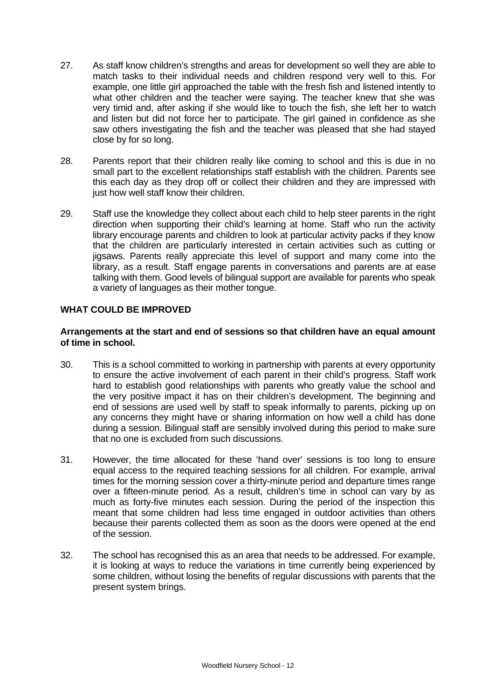- 27. As staff know children's strengths and areas for development so well they are able to match tasks to their individual needs and children respond very well to this. For example, one little girl approached the table with the fresh fish and listened intently to what other children and the teacher were saying. The teacher knew that she was very timid and, after asking if she would like to touch the fish, she left her to watch and listen but did not force her to participate. The girl gained in confidence as she saw others investigating the fish and the teacher was pleased that she had stayed close by for so long.
- 28. Parents report that their children really like coming to school and this is due in no small part to the excellent relationships staff establish with the children. Parents see this each day as they drop off or collect their children and they are impressed with just how well staff know their children.
- 29. Staff use the knowledge they collect about each child to help steer parents in the right direction when supporting their child's learning at home. Staff who run the activity library encourage parents and children to look at particular activity packs if they know that the children are particularly interested in certain activities such as cutting or jigsaws. Parents really appreciate this level of support and many come into the library, as a result. Staff engage parents in conversations and parents are at ease talking with them. Good levels of bilingual support are available for parents who speak a variety of languages as their mother tongue.

## **WHAT COULD BE IMPROVED**

#### **Arrangements at the start and end of sessions so that children have an equal amount of time in school.**

- 30. This is a school committed to working in partnership with parents at every opportunity to ensure the active involvement of each parent in their child's progress. Staff work hard to establish good relationships with parents who greatly value the school and the very positive impact it has on their children's development. The beginning and end of sessions are used well by staff to speak informally to parents, picking up on any concerns they might have or sharing information on how well a child has done during a session. Bilingual staff are sensibly involved during this period to make sure that no one is excluded from such discussions.
- 31. However, the time allocated for these 'hand over' sessions is too long to ensure equal access to the required teaching sessions for all children. For example, arrival times for the morning session cover a thirty-minute period and departure times range over a fifteen-minute period. As a result, children's time in school can vary by as much as forty-five minutes each session. During the period of the inspection this meant that some children had less time engaged in outdoor activities than others because their parents collected them as soon as the doors were opened at the end of the session.
- 32. The school has recognised this as an area that needs to be addressed. For example, it is looking at ways to reduce the variations in time currently being experienced by some children, without losing the benefits of regular discussions with parents that the present system brings.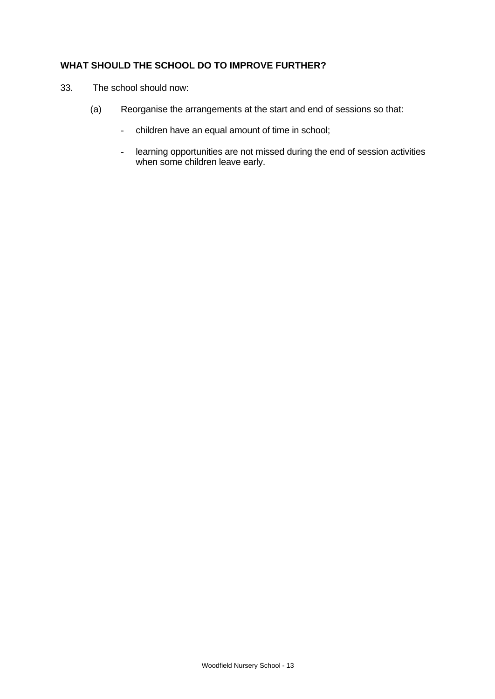# **WHAT SHOULD THE SCHOOL DO TO IMPROVE FURTHER?**

- 33. The school should now:
	- (a) Reorganise the arrangements at the start and end of sessions so that:
		- children have an equal amount of time in school;
		- learning opportunities are not missed during the end of session activities when some children leave early.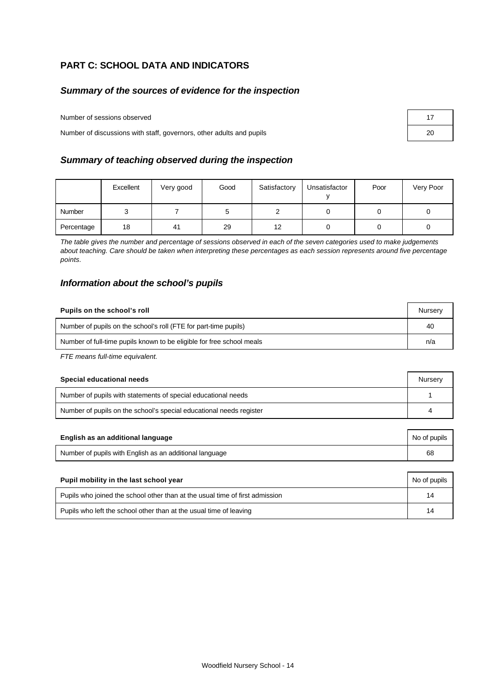# **PART C: SCHOOL DATA AND INDICATORS**

#### *Summary of the sources of evidence for the inspection*

Number of sessions observed

Number of discussions with staff, governors, other adults and pupils

#### *Summary of teaching observed during the inspection*

|            | Excellent | Very good | Good | Satisfactory | Unsatisfactor | Poor | Very Poor |
|------------|-----------|-----------|------|--------------|---------------|------|-----------|
| Number     |           |           |      |              |               |      |           |
| Percentage | 18        | 41        | 29   | 12           |               |      |           |

*The table gives the number and percentage of sessions observed in each of the seven categories used to make judgements about teaching. Care should be taken when interpreting these percentages as each session represents around five percentage points.*

#### *Information about the school's pupils*

| Pupils on the school's roll                                           |  |
|-----------------------------------------------------------------------|--|
| Number of pupils on the school's roll (FTE for part-time pupils)      |  |
| Number of full-time pupils known to be eligible for free school meals |  |

*FTE means full-time equivalent.*

| Special educational needs                                           |  |
|---------------------------------------------------------------------|--|
| Number of pupils with statements of special educational needs       |  |
| Number of pupils on the school's special educational needs register |  |

| English as an additional language                       | No of pupils |
|---------------------------------------------------------|--------------|
| Number of pupils with English as an additional language | 68           |

| Pupil mobility in the last school year                                       | No of pupils |
|------------------------------------------------------------------------------|--------------|
| Pupils who joined the school other than at the usual time of first admission | 14           |
| Pupils who left the school other than at the usual time of leaving           | 14           |

| 17 |  |
|----|--|
| 20 |  |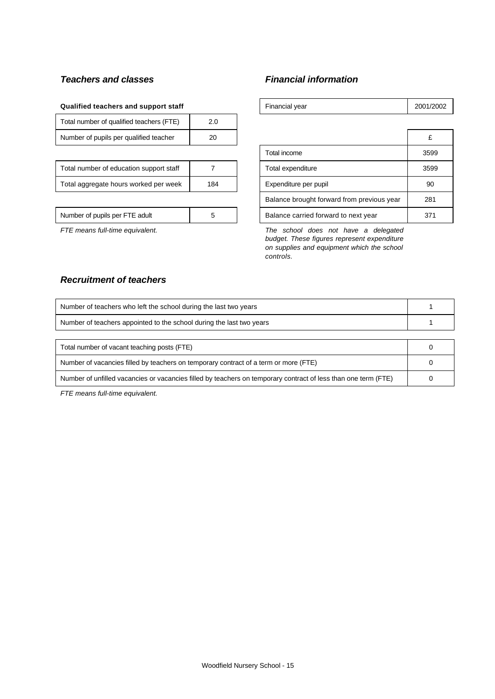# *Teachers and classes Financial information*

#### **Qualified teachers and support staff**

| Total number of qualified teachers (FTE) |    |  |
|------------------------------------------|----|--|
| Number of pupils per qualified teacher   | 20 |  |
|                                          |    |  |

| Total number of education support staff |     |
|-----------------------------------------|-----|
| Total aggregate hours worked per week   | 184 |

| Qualified teachers and support staff     |     | Financial year                             | 2001/2002 |  |
|------------------------------------------|-----|--------------------------------------------|-----------|--|
| Total number of qualified teachers (FTE) | 2.0 |                                            |           |  |
| Number of pupils per qualified teacher   | 20  |                                            |           |  |
|                                          |     | Total income                               | 3599      |  |
| Total number of education support staff  |     | Total expenditure                          | 3599      |  |
| Total aggregate hours worked per week    | 184 | Expenditure per pupil                      | 90        |  |
|                                          |     | Balance brought forward from previous year | 281       |  |
| Number of pupils per FTE adult           | 5   | Balance carried forward to next year       | 371       |  |

*FTE means full-time equivalent. The school does not have a delegated budget. These figures represent expenditure on supplies and equipment which the school controls.*

## *Recruitment of teachers*

| Number of teachers who left the school during the last two years                                               |  |
|----------------------------------------------------------------------------------------------------------------|--|
| Number of teachers appointed to the school during the last two years                                           |  |
|                                                                                                                |  |
| Total number of vacant teaching posts (FTE)                                                                    |  |
| Number of vacancies filled by teachers on temporary contract of a term or more (FTE)                           |  |
| Number of unfilled vacancies or vacancies filled by teachers on temporary contract of less than one term (FTE) |  |

*FTE means full-time equivalent.*